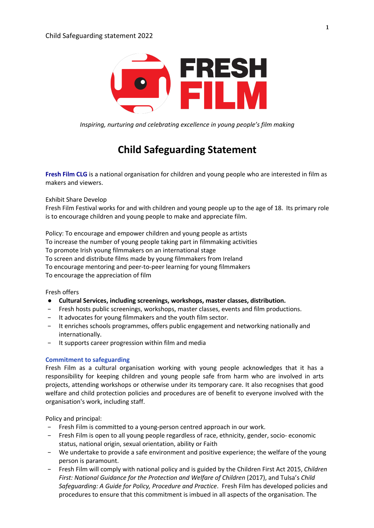

*Inspiring, nurturing and celebrating excellence in young people's film making*

# **Child Safeguarding Statement**

**Fresh Film CLG** is a national organisation for children and young people who are interested in film as makers and viewers.

Exhibit Share Develop

Fresh Film Festival works for and with children and young people up to the age of 18. Its primary role is to encourage children and young people to make and appreciate film.

Policy: To encourage and empower children and young people as artists To increase the number of young people taking part in filmmaking activities To promote Irish young filmmakers on an international stage To screen and distribute films made by young filmmakers from Ireland To encourage mentoring and peer-to-peer learning for young filmmakers To encourage the appreciation of film

Fresh offers

- **Cultural Services, including screenings, workshops, master classes, distribution.**
- Fresh hosts public screenings, workshops, master classes, events and film productions.
- − It advocates for young filmmakers and the youth film sector.
- − It enriches schools programmes, offers public engagement and networking nationally and internationally.
- It supports career progression within film and media

## **Commitment to safeguarding**

Fresh Film as a cultural organisation working with young people acknowledges that it has a responsibility for keeping children and young people safe from harm who are involved in arts projects, attending workshops or otherwise under its temporary care. It also recognises that good welfare and child protection policies and procedures are of benefit to everyone involved with the organisation's work, including staff.

Policy and principal:

- − Fresh Film is committed to a young-person centred approach in our work.
- − Fresh Film is open to all young people regardless of race, ethnicity, gender, socio- economic status, national origin, sexual orientation, ability or Faith
- − We undertake to provide a safe environment and positive experience; the welfare of the young person is paramount.
- − Fresh Film will comply with national policy and is guided by the Children First Act 2015, *Children First: National Guidance for the Protection and Welfare of Children* (2017), and Tulsa's *Child Safeguarding: A Guide for Policy, Procedure and Practice*. Fresh Film has developed policies and procedures to ensure that this commitment is imbued in all aspects of the organisation. The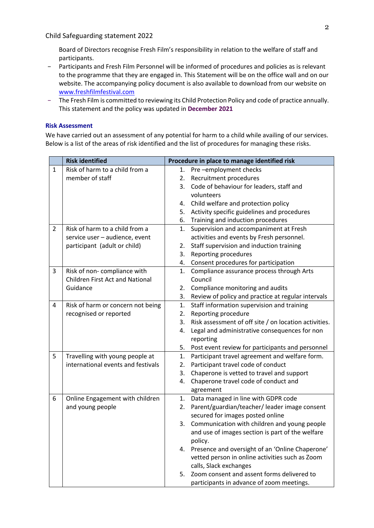Child Safeguarding statement 2022

Board of Directors recognise Fresh Film's responsibility in relation to the welfare of staff and participants.

- − Participants and Fresh Film Personnel will be informed of procedures and policies as is relevant to the programme that they are engaged in. This Statement will be on the office wall and on our website. The accompanying policy document is also available to download from our website on www.freshfilmfestival.com
- − The Fresh Film is committed to reviewing its Child Protection Policy and code of practice annually. This statement and the policy was updated in **December 2021**

## **Risk Assessment**

We have carried out an assessment of any potential for harm to a child while availing of our services. Below is a list of the areas of risk identified and the list of procedures for managing these risks.

|                | <b>Risk identified</b>                 | Procedure in place to manage identified risk |                                                       |
|----------------|----------------------------------------|----------------------------------------------|-------------------------------------------------------|
| $\mathbf{1}$   | Risk of harm to a child from a         |                                              | 1. Pre-employment checks                              |
|                | member of staff                        | 2.                                           | Recruitment procedures                                |
|                |                                        |                                              | 3. Code of behaviour for leaders, staff and           |
|                |                                        |                                              | volunteers                                            |
|                |                                        |                                              | 4. Child welfare and protection policy                |
|                |                                        | 5.                                           | Activity specific guidelines and procedures           |
|                |                                        | 6.                                           | Training and induction procedures                     |
| $\overline{2}$ | Risk of harm to a child from a         | 1.                                           | Supervision and accompaniment at Fresh                |
|                | service user - audience, event         |                                              | activities and events by Fresh personnel.             |
|                | participant (adult or child)           | 2.                                           | Staff supervision and induction training              |
|                |                                        | 3.                                           | Reporting procedures                                  |
|                |                                        | 4.                                           | Consent procedures for participation                  |
| 3              | Risk of non-compliance with            | 1.                                           | Compliance assurance process through Arts             |
|                | <b>Children First Act and National</b> |                                              | Council                                               |
|                | Guidance                               | 2.                                           | Compliance monitoring and audits                      |
|                |                                        | 3.                                           | Review of policy and practice at regular intervals    |
| 4              | Risk of harm or concern not being      | 1.                                           | Staff information supervision and training            |
|                | recognised or reported                 | 2.                                           | Reporting procedure                                   |
|                |                                        | 3.                                           | Risk assessment of off site / on location activities. |
|                |                                        | 4.                                           | Legal and administrative consequences for non         |
|                |                                        |                                              | reporting                                             |
|                |                                        | 5.                                           | Post event review for participants and personnel      |
| 5              | Travelling with young people at        | 1.                                           | Participant travel agreement and welfare form.        |
|                | international events and festivals     | 2.                                           | Participant travel code of conduct                    |
|                |                                        | 3.                                           | Chaperone is vetted to travel and support             |
|                |                                        | 4.                                           | Chaperone travel code of conduct and                  |
|                |                                        |                                              | agreement                                             |
| 6              | Online Engagement with children        | 1.                                           | Data managed in line with GDPR code                   |
|                | and young people                       | 2.                                           | Parent/guardian/teacher/ leader image consent         |
|                |                                        |                                              | secured for images posted online                      |
|                |                                        | 3.                                           | Communication with children and young people          |
|                |                                        |                                              | and use of images section is part of the welfare      |
|                |                                        |                                              | policy.                                               |
|                |                                        |                                              | 4. Presence and oversight of an 'Online Chaperone'    |
|                |                                        |                                              | vetted person in online activities such as Zoom       |
|                |                                        |                                              | calls, Slack exchanges                                |
|                |                                        | 5.                                           | Zoom consent and assent forms delivered to            |
|                |                                        |                                              | participants in advance of zoom meetings.             |